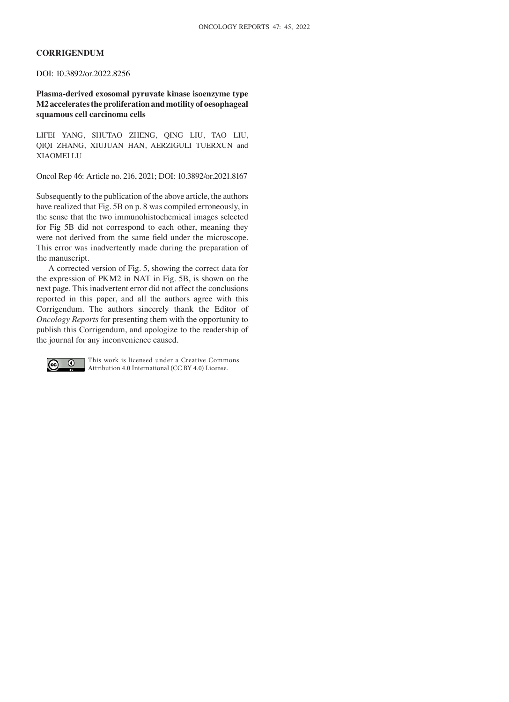## **CORRIGENDUM**

DOI: 10.3892/or.2022.8256

**Plasma‑derived exosomal pyruvate kinase isoenzyme type M2 accelerates the proliferation and motility of oesophageal squamous cell carcinoma cells**

LIFEI YANG, SHUTAO ZHENG, QING LIU, TAO LIU, QIQI ZHANG, XIUJUAN HAN, AERZIGULI TUERXUN and XIAOMEI LU

Oncol Rep 46: Article no. 216, 2021; DOI: 10.3892/or.2021.8167

Subsequently to the publication of the above article, the authors have realized that Fig. 5B on p. 8 was compiled erroneously, in the sense that the two immunohistochemical images selected for Fig 5B did not correspond to each other, meaning they were not derived from the same field under the microscope. This error was inadvertently made during the preparation of the manuscript.

A corrected version of Fig. 5, showing the correct data for the expression of PKM2 in NAT in Fig. 5B, is shown on the next page. This inadvertent error did not affect the conclusions reported in this paper, and all the authors agree with this Corrigendum. The authors sincerely thank the Editor of *Oncology Reports* for presenting them with the opportunity to publish this Corrigendum, and apologize to the readership of the journal for any inconvenience caused.



This work is licensed under a Creative Commons Attribution 4.0 International (CC BY 4.0) License.